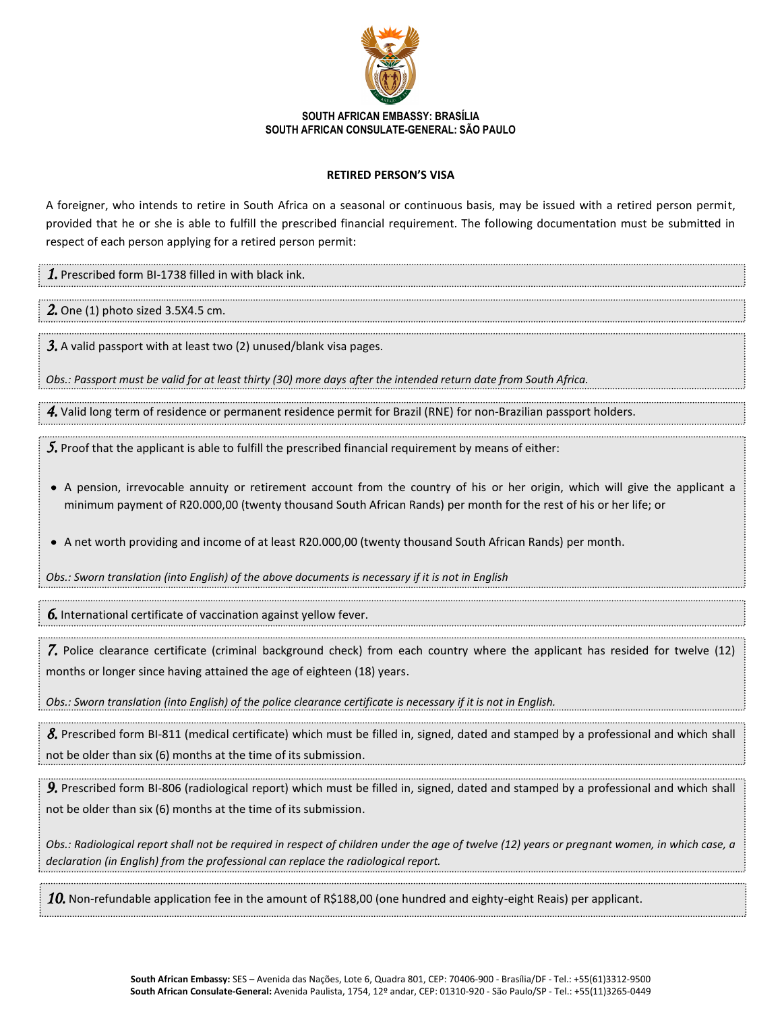

## **SOUTH AFRICAN EMBASSY: BRASÍLIA SOUTH AFRICAN CONSULATE-GENERAL: SÃO PAULO**

## **RETIRED PERSON'S VISA**

A foreigner, who intends to retire in South Africa on a seasonal or continuous basis, may be issued with a retired person permit, provided that he or she is able to fulfill the prescribed financial requirement. The following documentation must be submitted in respect of each person applying for a retired person permit:

*1.* Prescribed form BI-1738 filled in with black ink.

*2.* One (1) photo sized 3.5X4.5 cm.

*3.* A valid passport with at least two (2) unused/blank visa pages.

*Obs.: Passport must be valid for at least thirty (30) more days after the intended return date from South Africa.*

*4.* Valid long term of residence or permanent residence permit for Brazil (RNE) for non-Brazilian passport holders.

*5.* Proof that the applicant is able to fulfill the prescribed financial requirement by means of either:

A pension, irrevocable annuity or retirement account from the country of his or her origin, which will give the applicant a minimum payment of R20.000,00 (twenty thousand South African Rands) per month for the rest of his or her life; or

A net worth providing and income of at least R20.000,00 (twenty thousand South African Rands) per month.

*Obs.: Sworn translation (into English) of the above documents is necessary if it is not in English*

*6.* International certificate of vaccination against yellow fever.

*7.* Police clearance certificate (criminal background check) from each country where the applicant has resided for twelve (12) months or longer since having attained the age of eighteen (18) years.

*Obs.: Sworn translation (into English) of the police clearance certificate is necessary if it is not in English.*

*8.* Prescribed form BI-811 (medical certificate) which must be filled in, signed, dated and stamped by a professional and which shall not be older than six (6) months at the time of its submission.

*9.* Prescribed form BI-806 (radiological report) which must be filled in, signed, dated and stamped by a professional and which shall not be older than six (6) months at the time of its submission.

*Obs.: Radiological report shall not be required in respect of children under the age of twelve (12) years or pregnant women, in which case, a declaration (in English) from the professional can replace the radiological report.*

*10.* Non-refundable application fee in the amount of R\$188,00 (one hundred and eighty-eight Reais) per applicant.